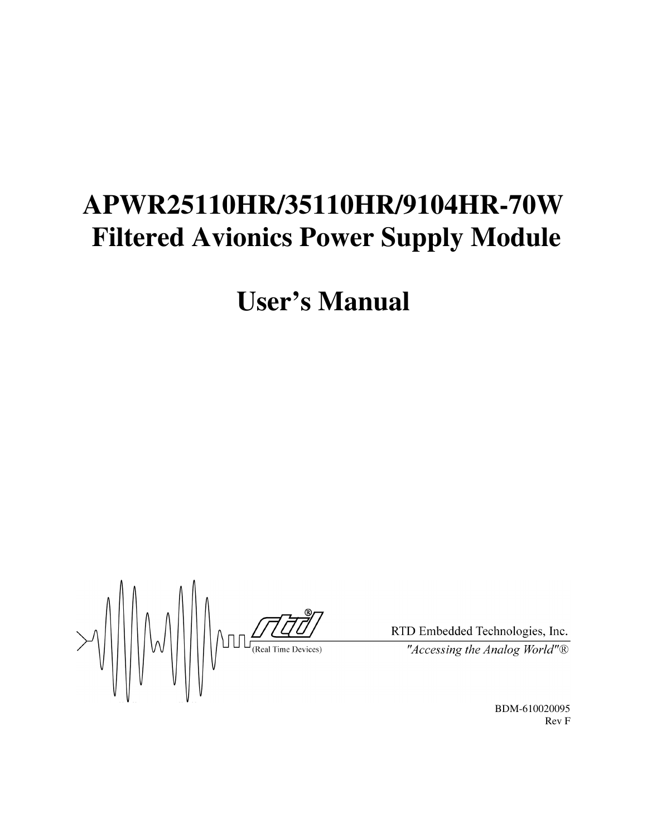# **APWR25110HR/35110HR/9104HR-70W Filtered Avionics Power Supply Module**

**User's Manual** 

 $\frac{1}{\frac{1}{\sqrt{1-\frac{1}{\sqrt{1-\frac{1}{\sqrt{1-\frac{1}{\sqrt{1-\frac{1}{\sqrt{1-\frac{1}{\sqrt{1-\frac{1}{\sqrt{1-\frac{1}{\sqrt{1-\frac{1}{\sqrt{1-\frac{1}{\sqrt{1-\frac{1}{\sqrt{1-\frac{1}{\sqrt{1-\frac{1}{\sqrt{1-\frac{1}{\sqrt{1-\frac{1}{\sqrt{1-\frac{1}{\sqrt{1-\frac{1}{\sqrt{1-\frac{1}{\sqrt{1-\frac{1}{\sqrt{1-\frac{1}{\sqrt{1-\frac{1}{\sqrt{1-\frac{1}{\sqrt{1-\frac{1}{\sqrt{1-\frac{1}{\sqrt{$ 

RTD Embedded Technologies, Inc.

"Accessing the Analog World"®

BDM-610020095 Rev F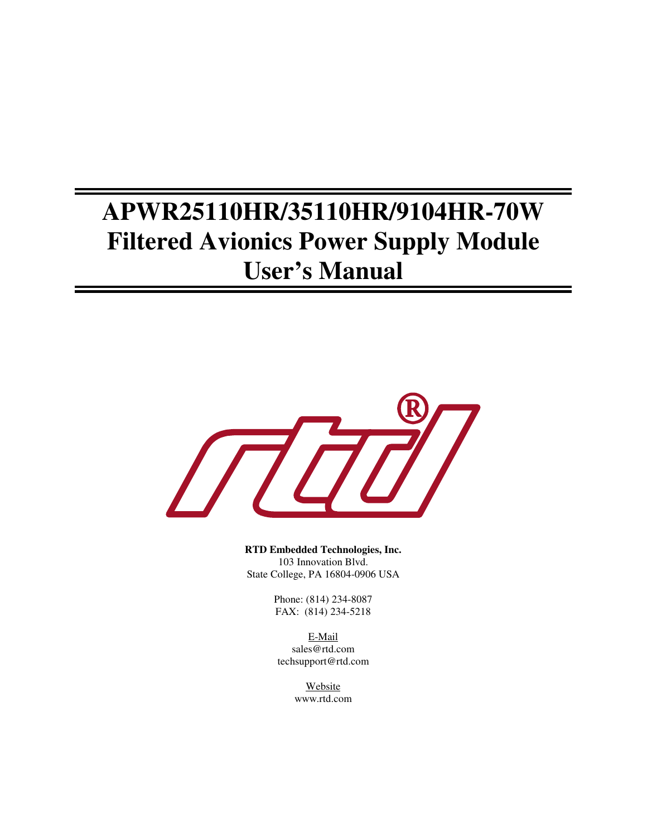# **APWR25110HR/35110HR/9104HR-70W Filtered Avionics Power Supply Module User's Manual**



**RTD Embedded Technologies, Inc.**  103 Innovation Blvd. State College, PA 16804-0906 USA

> Phone: (814) 234-8087 FAX: (814) 234-5218

E-Mail sales@rtd.com techsupport@rtd.com

> Website www.rtd.com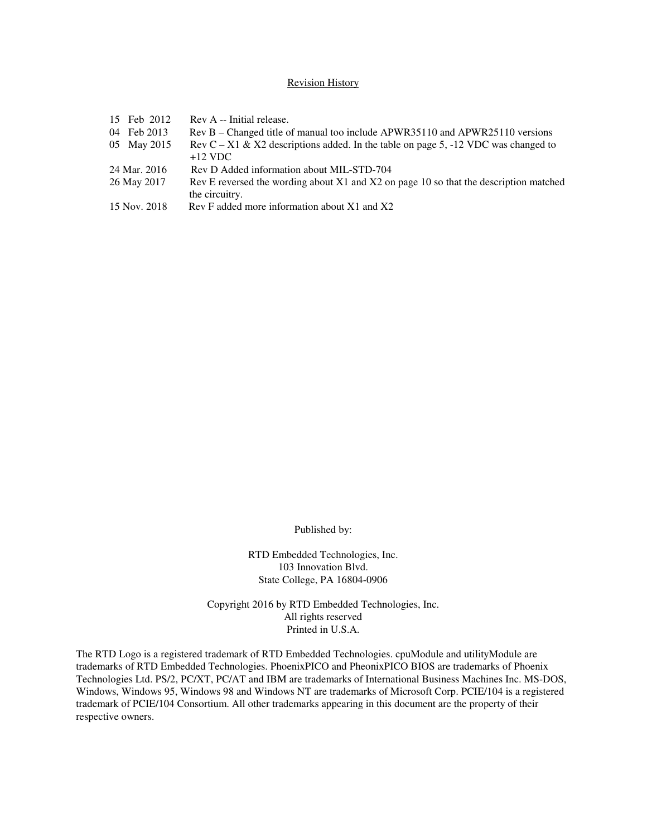#### Revision History

| Rev B – Changed title of manual too include APWR35110 and APWR25110 versions<br>04 Feb 2013<br>Rev C – X1 & X2 descriptions added. In the table on page 5, -12 VDC was changed to<br>05 May 2015<br>$+12$ VDC<br>Rev D Added information about MIL-STD-704<br>24 Mar. 2016<br>26 May 2017<br>the circuitry.<br>Rev F added more information about X1 and X2<br>15 Nov. 2018 | 15 Feb 2012 | Rev A -- Initial release.                                                                 |
|-----------------------------------------------------------------------------------------------------------------------------------------------------------------------------------------------------------------------------------------------------------------------------------------------------------------------------------------------------------------------------|-------------|-------------------------------------------------------------------------------------------|
|                                                                                                                                                                                                                                                                                                                                                                             |             |                                                                                           |
|                                                                                                                                                                                                                                                                                                                                                                             |             |                                                                                           |
|                                                                                                                                                                                                                                                                                                                                                                             |             |                                                                                           |
|                                                                                                                                                                                                                                                                                                                                                                             |             | Rev E reversed the wording about $X1$ and $X2$ on page 10 so that the description matched |
|                                                                                                                                                                                                                                                                                                                                                                             |             |                                                                                           |

Published by:

RTD Embedded Technologies, Inc. 103 Innovation Blvd. State College, PA 16804-0906

Copyright 2016 by RTD Embedded Technologies, Inc. All rights reserved Printed in U.S.A.

The RTD Logo is a registered trademark of RTD Embedded Technologies. cpuModule and utilityModule are trademarks of RTD Embedded Technologies. PhoenixPICO and PheonixPICO BIOS are trademarks of Phoenix Technologies Ltd. PS/2, PC/XT, PC/AT and IBM are trademarks of International Business Machines Inc. MS-DOS, Windows, Windows 95, Windows 98 and Windows NT are trademarks of Microsoft Corp. PCIE/104 is a registered trademark of PCIE/104 Consortium. All other trademarks appearing in this document are the property of their respective owners.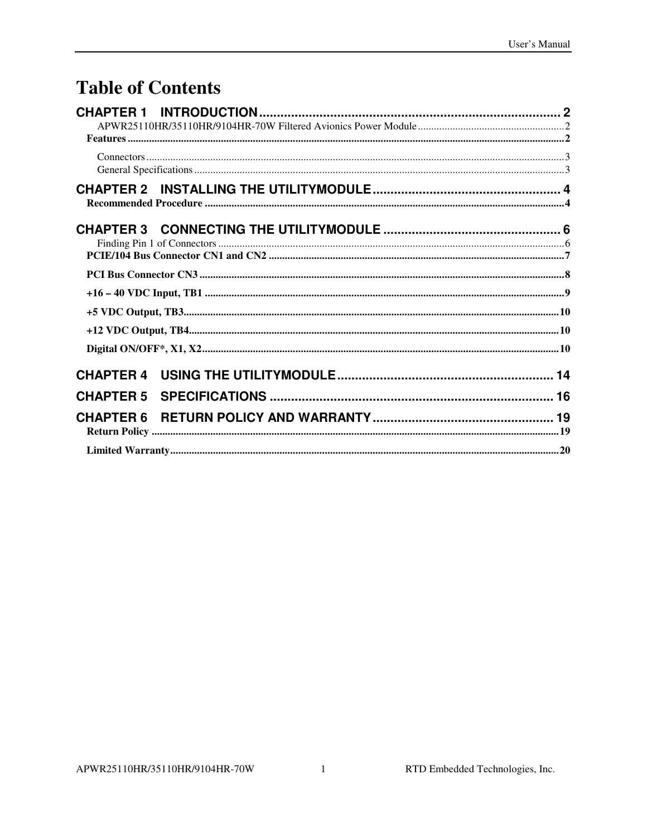# **Table of Contents**

| <b>CHAPTER 5</b> |  |
|------------------|--|
| <b>CHAPTER 6</b> |  |
|                  |  |
|                  |  |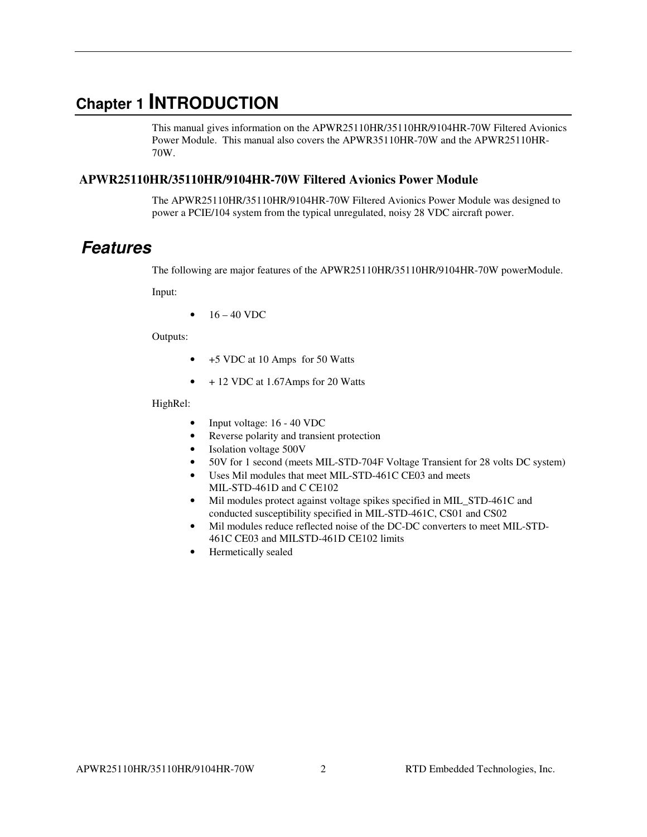## **Chapter 1 INTRODUCTION**

This manual gives information on the APWR25110HR/35110HR/9104HR-70W Filtered Avionics Power Module. This manual also covers the APWR35110HR-70W and the APWR25110HR-70W.

#### **APWR25110HR/35110HR/9104HR-70W Filtered Avionics Power Module**

The APWR25110HR/35110HR/9104HR-70W Filtered Avionics Power Module was designed to power a PCIE/104 system from the typical unregulated, noisy 28 VDC aircraft power.

### **Features**

The following are major features of the APWR25110HR/35110HR/9104HR-70W powerModule.

Input:

•  $16 - 40$  VDC

Outputs:

- +5 VDC at 10 Amps for 50 Watts
- + 12 VDC at 1.67Amps for 20 Watts

#### HighRel:

- Input voltage: 16 40 VDC
- Reverse polarity and transient protection
- Isolation voltage 500V
- 50V for 1 second (meets MIL-STD-704F Voltage Transient for 28 volts DC system)
- Uses Mil modules that meet MIL-STD-461C CE03 and meets MIL-STD-461D and C CE102
- Mil modules protect against voltage spikes specified in MIL\_STD-461C and conducted susceptibility specified in MIL-STD-461C, CS01 and CS02
- Mil modules reduce reflected noise of the DC-DC converters to meet MIL-STD-461C CE03 and MILSTD-461D CE102 limits
- Hermetically sealed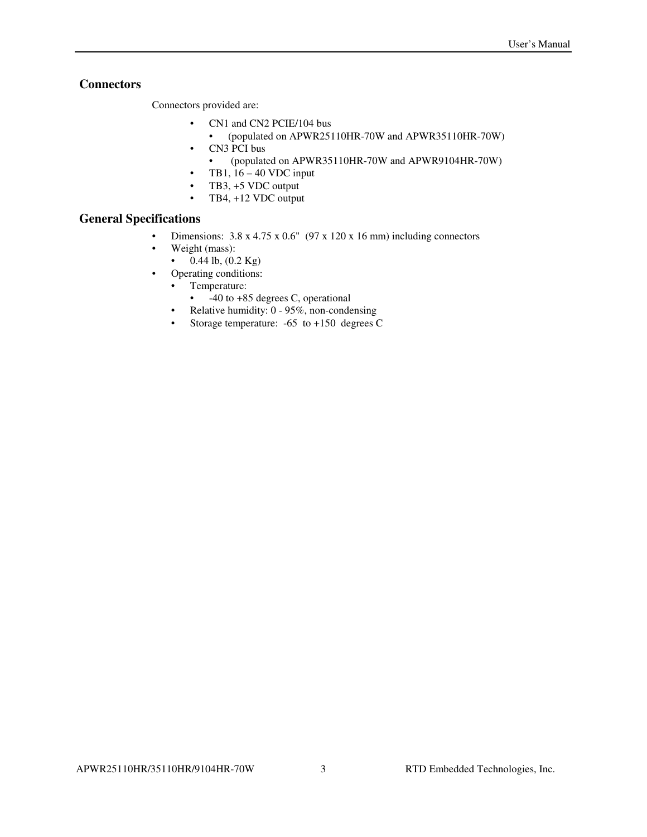#### **Connectors**

Connectors provided are:

- CN1 and CN2 PCIE/104 bus
	- (populated on APWR25110HR-70W and APWR35110HR-70W)
- CN3 PCI bus
	- (populated on APWR35110HR-70W and APWR9104HR-70W)
- TB1,  $16 40$  VDC input
- TB3, +5 VDC output
- TB4, +12 VDC output

#### **General Specifications**

- Dimensions:  $3.8 \times 4.75 \times 0.6$ " (97 x 120 x 16 mm) including connectors
- Weight (mass):
	- 0.44 lb,  $(0.2 \text{ Kg})$
- Operating conditions:
	- Temperature:
		- -40 to +85 degrees C, operational
	- Relative humidity: 0 95%, non-condensing
	- Storage temperature:  $-65$  to  $+150$  degrees C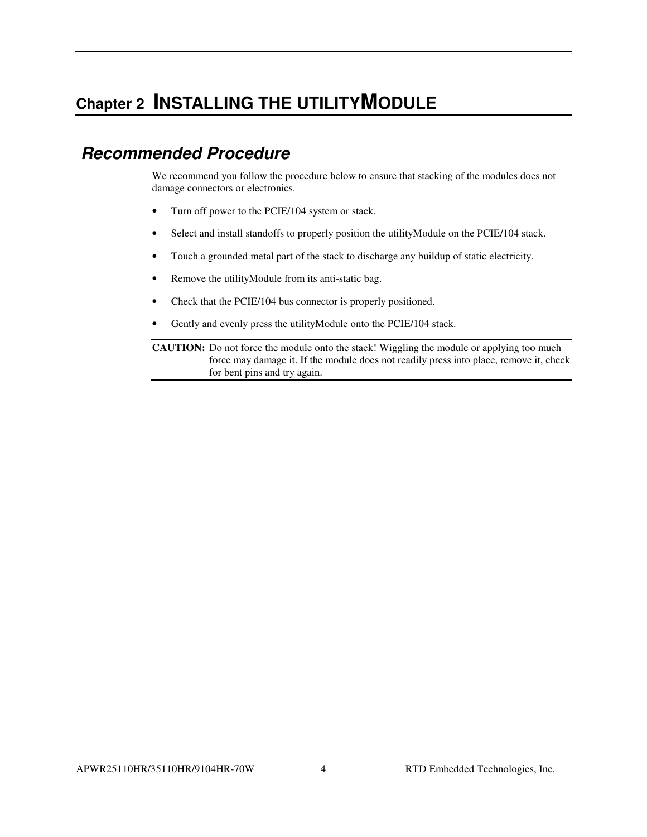# **Chapter 2 INSTALLING THE UTILITYMODULE**

### **Recommended Procedure**

We recommend you follow the procedure below to ensure that stacking of the modules does not damage connectors or electronics.

- Turn off power to the PCIE/104 system or stack.
- Select and install standoffs to properly position the utilityModule on the PCIE/104 stack.
- Touch a grounded metal part of the stack to discharge any buildup of static electricity.
- Remove the utilityModule from its anti-static bag.
- Check that the PCIE/104 bus connector is properly positioned.
- Gently and evenly press the utilityModule onto the PCIE/104 stack.

**CAUTION:** Do not force the module onto the stack! Wiggling the module or applying too much force may damage it. If the module does not readily press into place, remove it, check for bent pins and try again.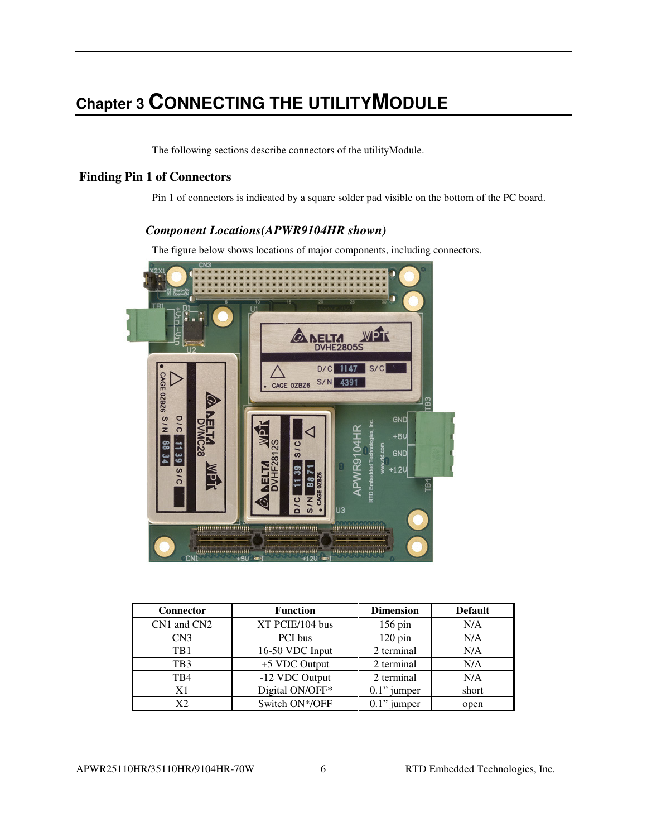# **Chapter 3 CONNECTING THE UTILITYMODULE**

The following sections describe connectors of the utilityModule.

#### **Finding Pin 1 of Connectors**

Pin 1 of connectors is indicated by a square solder pad visible on the bottom of the PC board.

#### *Component Locations(APWR9104HR shown)*

The figure below shows locations of major components, including connectors.



| <b>Connector</b> | <b>Function</b> | <b>Dimension</b>  | <b>Default</b> |
|------------------|-----------------|-------------------|----------------|
| CN1 and CN2      | XT PCIE/104 bus | $156 \text{ pin}$ | N/A            |
| CN <sub>3</sub>  | PCI bus         | $120 \text{ pin}$ | N/A            |
| T <sub>B</sub> 1 | 16-50 VDC Input | 2 terminal        | N/A            |
| TB <sub>3</sub>  | +5 VDC Output   | 2 terminal        | N/A            |
| TB4              | -12 VDC Output  | 2 terminal        | N/A            |
| X1               | Digital ON/OFF* | $0.1$ " jumper    | short          |
| X <sub>2</sub>   | Switch ON*/OFF  | $0.1$ " jumper    | open           |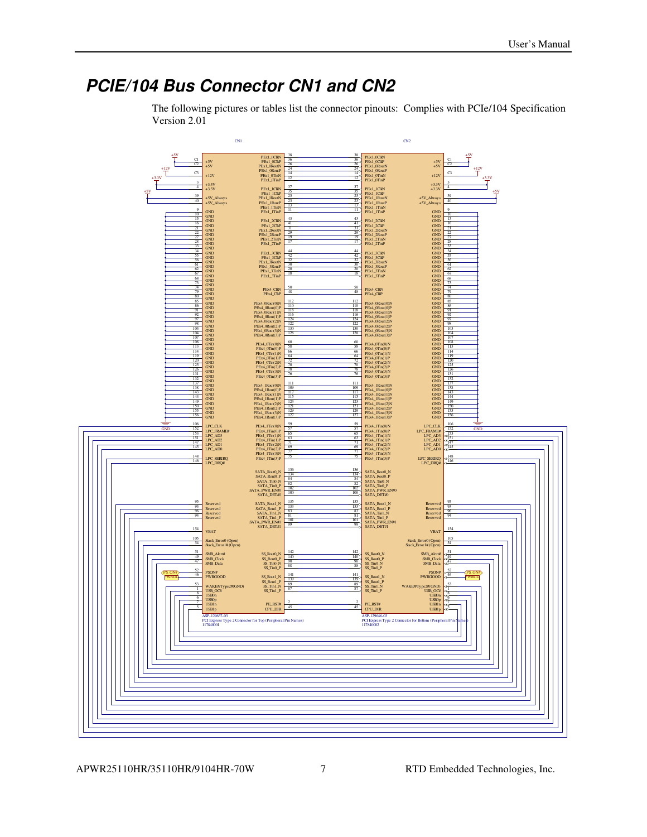### **PCIE/104 Bus Connector CN1 and CN2**

The following pictures or tables list the connector pinouts: Complies with PCIe/104 Specification Version 2.01

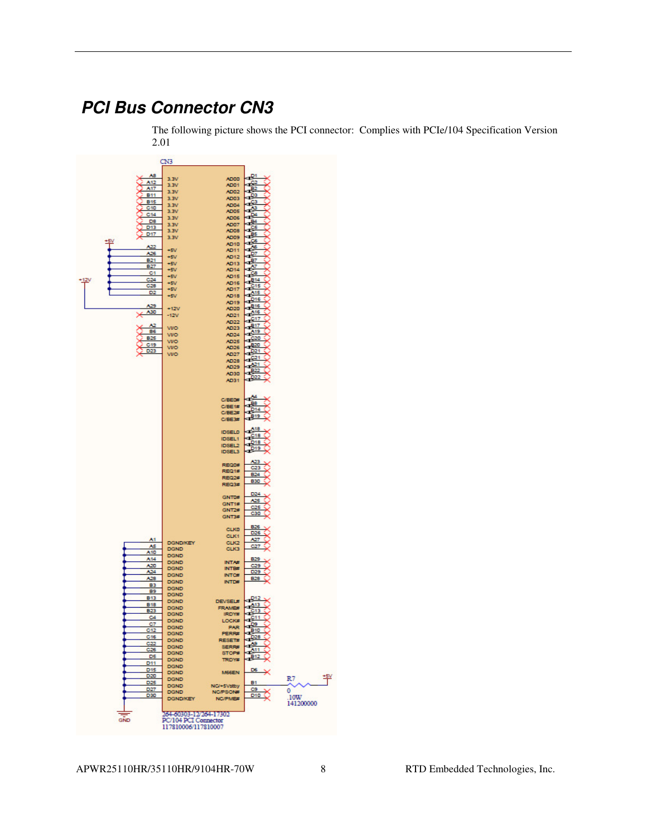### **PCI Bus Connector CN3**

The following picture shows the PCI connector: Complies with PCIe/104 Specification Version 2.01

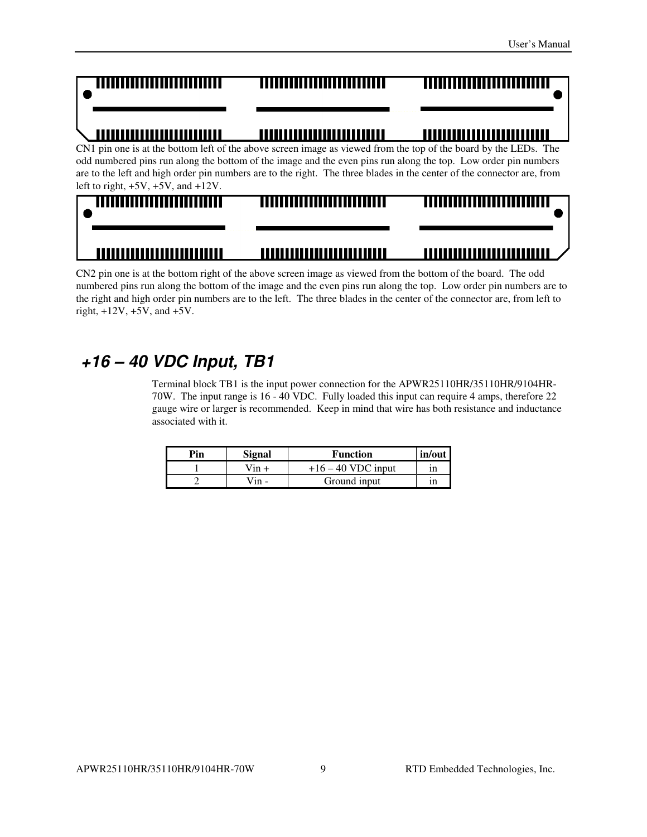

Ш .................... <u> 1111111111111111111111111111</u>

,,,,,,,,,,,,

CN2 pin one is at the bottom right of the above screen image as viewed from the bottom of the board. The odd numbered pins run along the bottom of the image and the even pins run along the top. Low order pin numbers are to the right and high order pin numbers are to the left. The three blades in the center of the connector are, from left to right, +12V, +5V, and +5V.

## **+16 – 40 VDC Input, TB1**

Terminal block TB1 is the input power connection for the APWR25110HR/35110HR/9104HR-70W. The input range is 16 - 40 VDC. Fully loaded this input can require 4 amps, therefore 22 gauge wire or larger is recommended. Keep in mind that wire has both resistance and inductance associated with it.

| Pin | Signal          | <b>Function</b>      | in/out |
|-----|-----------------|----------------------|--------|
|     | $V$ in +        | $+16 - 40$ VDC input |        |
|     | $V_{\text{in}}$ | Ground input         |        |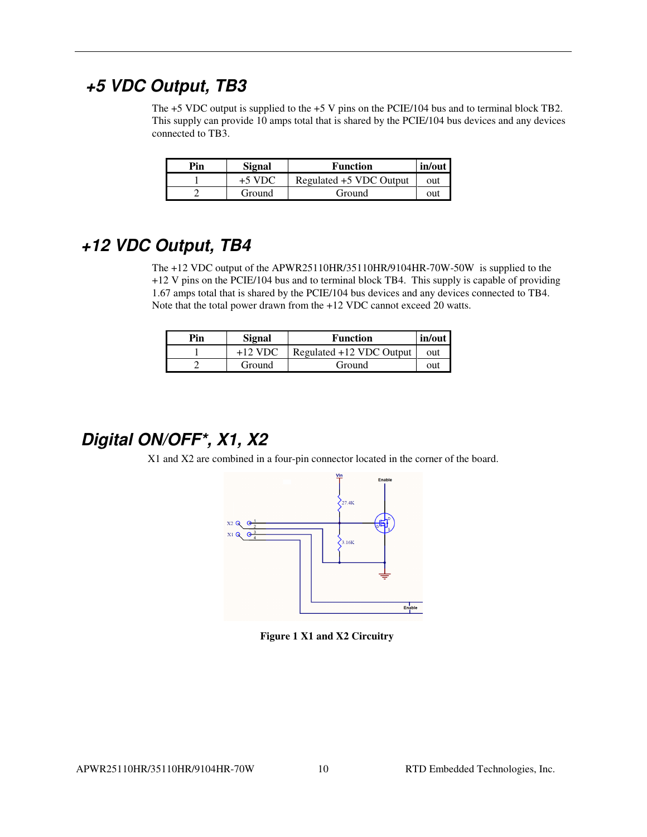### **+5 VDC Output, TB3**

The +5 VDC output is supplied to the +5 V pins on the PCIE/104 bus and to terminal block TB2. This supply can provide 10 amps total that is shared by the PCIE/104 bus devices and any devices connected to TB3.

| Pin | Signal   | <b>Function</b>         | in/out |
|-----|----------|-------------------------|--------|
|     | $+5$ VDC | Regulated +5 VDC Output | out    |
|     | Ground   | Ground                  | out    |

### **+12 VDC Output, TB4**

The +12 VDC output of the APWR25110HR/35110HR/9104HR-70W-50W is supplied to the +12 V pins on the PCIE/104 bus and to terminal block TB4. This supply is capable of providing 1.67 amps total that is shared by the PCIE/104 bus devices and any devices connected to TB4. Note that the total power drawn from the +12 VDC cannot exceed 20 watts.

| Pin | Signal    | <b>Function</b>          | in/out |
|-----|-----------|--------------------------|--------|
|     | $+12$ VDC | Regulated +12 VDC Output | out    |
|     | Ground    | Ground                   | out    |

## **Digital ON/OFF\*, X1, X2**

X1 and X2 are combined in a four-pin connector located in the corner of the board.



**Figure 1 X1 and X2 Circuitry**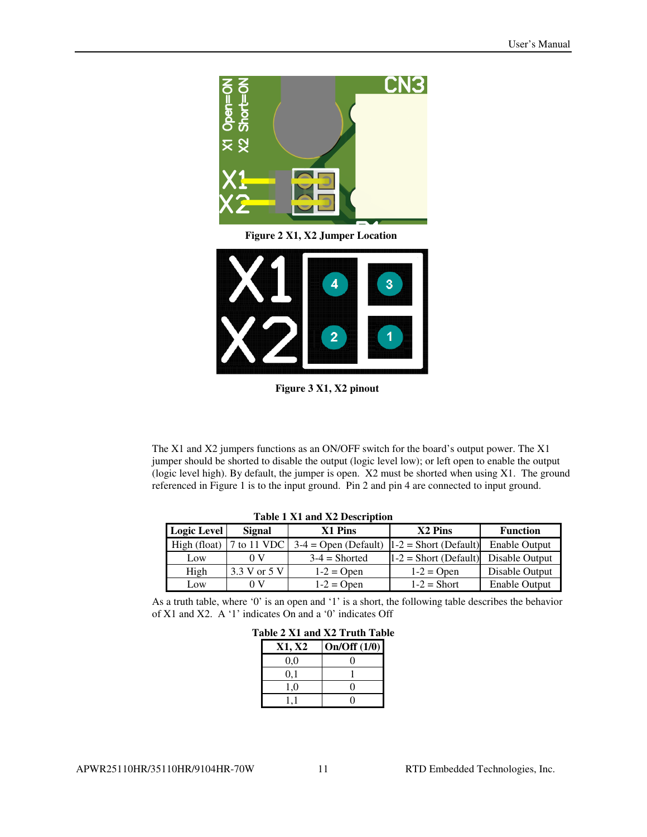

 **Figure 2 X1, X2 Jumper Location** 



 **Figure 3 X1, X2 pinout** 

The X1 and X2 jumpers functions as an ON/OFF switch for the board's output power. The X1 jumper should be shorted to disable the output (logic level low); or left open to enable the output (logic level high). By default, the jumper is open. X2 must be shorted when using X1. The ground referenced in Figure 1 is to the input ground. Pin 2 and pin 4 are connected to input ground.

| Table 1 AT and AP Description |                             |                                                  |                         |                      |  |  |
|-------------------------------|-----------------------------|--------------------------------------------------|-------------------------|----------------------|--|--|
| <b>Logic Level</b><br>Signal  |                             | X1 Pins                                          | X <sub>2</sub> Pins     | <b>Function</b>      |  |  |
|                               | High (float) $ 7$ to 11 VDC | $3-4 =$ Open (Default) $ 1-2 $ = Short (Default) |                         | <b>Enable Output</b> |  |  |
| Low                           | 0 <sup>2</sup>              | $3-4 = Shorted$                                  | $1-2$ = Short (Default) | Disable Output       |  |  |
| High                          | 3.3 V or 5 V                | $1-2 = Open$                                     | $1-2 = Open$            | Disable Output       |  |  |
| Low                           | 0 V                         | $1-2 = Open$                                     | $1-2$ = Short           | Enable Output        |  |  |

**Table 1 X1 and X2 Description** 

As a truth table, where '0' is an open and '1' is a short, the following table describes the behavior of X1 and X2. A '1' indicates On and a '0' indicates Off

| X1, X2    | On/Off $(1/0)$ |
|-----------|----------------|
| 0.0       |                |
| $\rm 0.1$ |                |
| $1.0\,$   |                |
|           |                |

|  |  | Table 2 X1 and X2 Truth Table |  |
|--|--|-------------------------------|--|
|  |  |                               |  |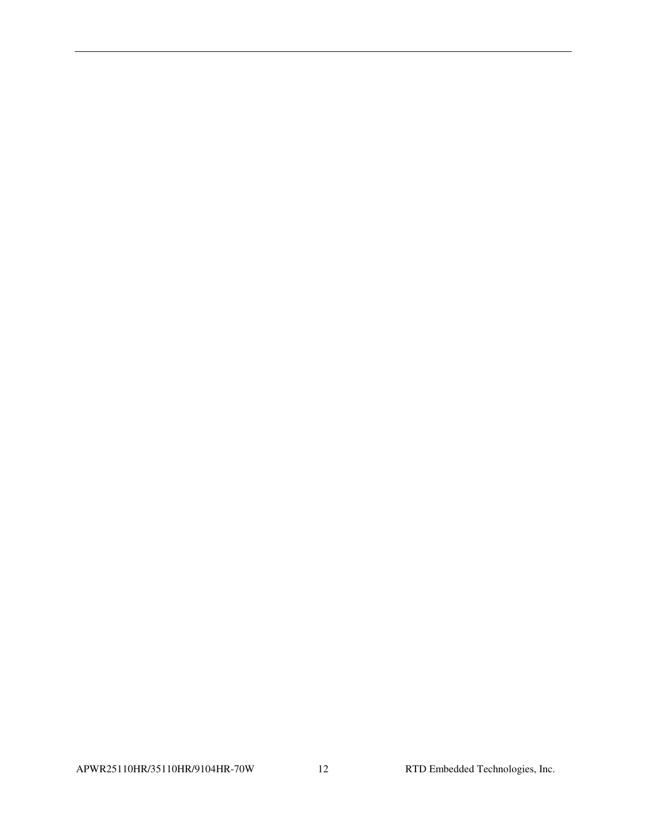APWR25110HR/35110HR/9104HR-70W 12 RTD Embedded Technologies, Inc.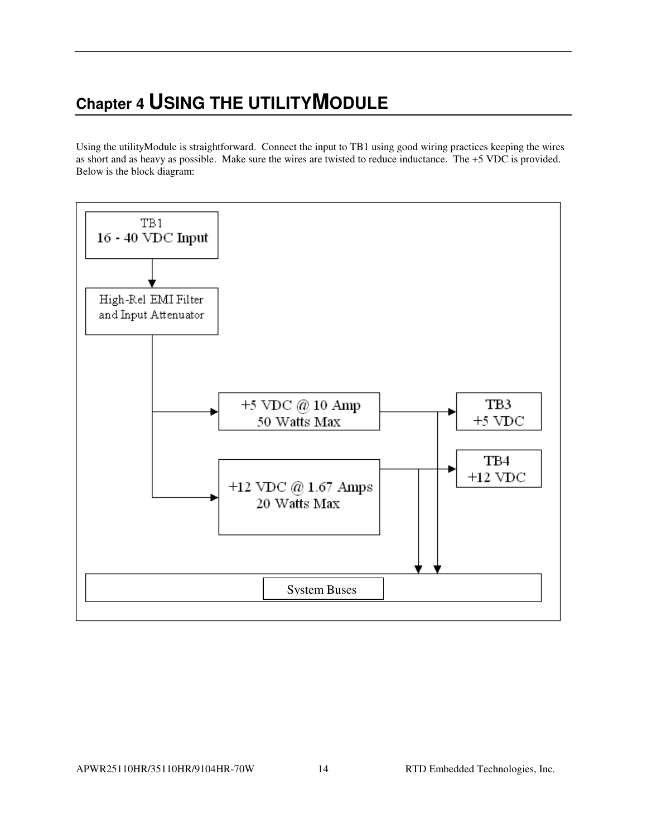# **Chapter 4 USING THE UTILITYMODULE**

Using the utilityModule is straightforward. Connect the input to TB1 using good wiring practices keeping the wires as short and as heavy as possible. Make sure the wires are twisted to reduce inductance. The +5 VDC is provided. Below is the block diagram:

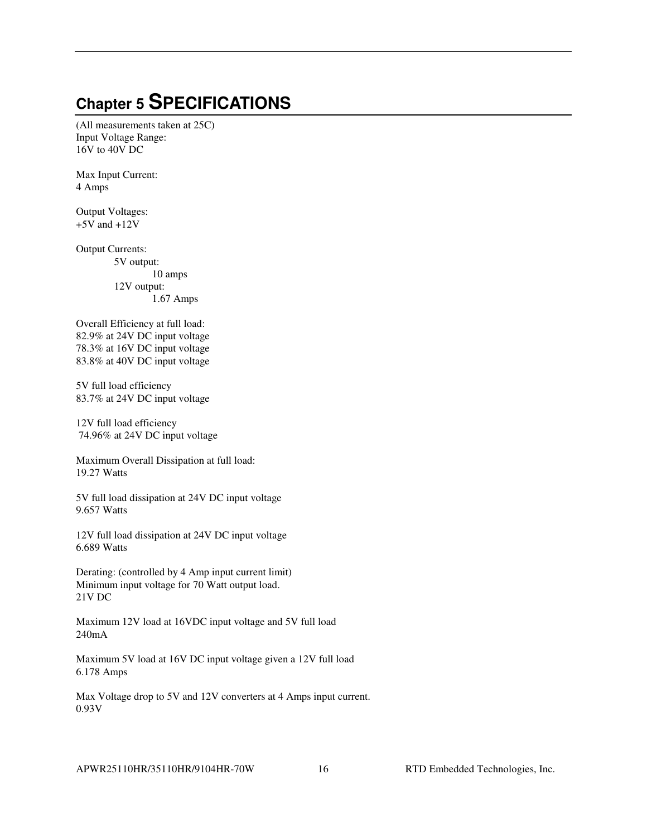# **Chapter 5 SPECIFICATIONS**

(All measurements taken at 25C) Input Voltage Range: 16V to 40V DC

Max Input Current: 4 Amps

Output Voltages:  $+5V$  and  $+12V$ 

Output Currents: 5V output: 10 amps 12V output: 1.67 Amps

Overall Efficiency at full load: 82.9% at 24V DC input voltage 78.3% at 16V DC input voltage 83.8% at 40V DC input voltage

5V full load efficiency 83.7% at 24V DC input voltage

12V full load efficiency 74.96% at 24V DC input voltage

Maximum Overall Dissipation at full load: 19.27 Watts

5V full load dissipation at 24V DC input voltage 9.657 Watts

12V full load dissipation at 24V DC input voltage 6.689 Watts

Derating: (controlled by 4 Amp input current limit) Minimum input voltage for 70 Watt output load. 21V DC

Maximum 12V load at 16VDC input voltage and 5V full load 240mA

Maximum 5V load at 16V DC input voltage given a 12V full load 6.178 Amps

Max Voltage drop to 5V and 12V converters at 4 Amps input current. 0.93V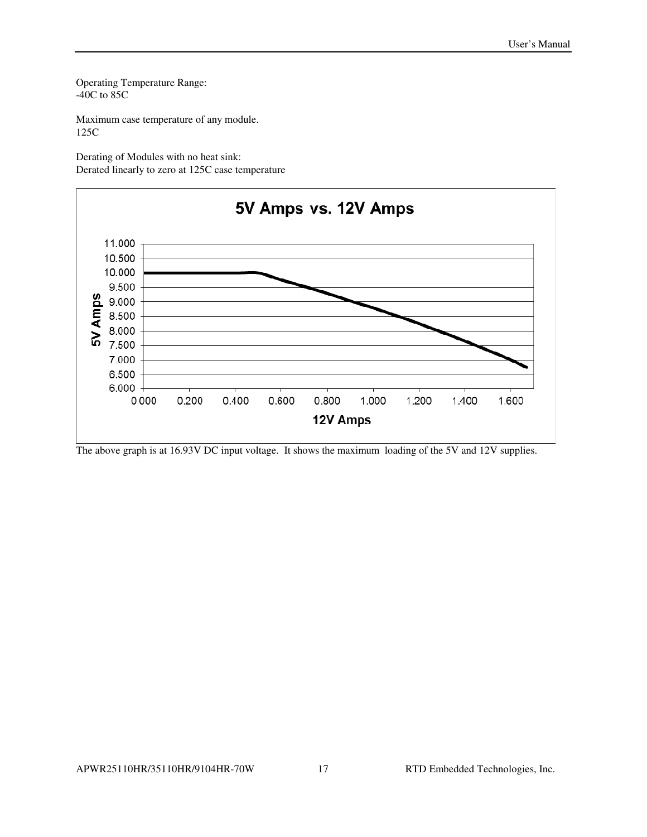Operating Temperature Range: -40C to 85C

Maximum case temperature of any module. 125C

Derating of Modules with no heat sink: Derated linearly to zero at 125C case temperature



The above graph is at 16.93V DC input voltage. It shows the maximum loading of the 5V and 12V supplies.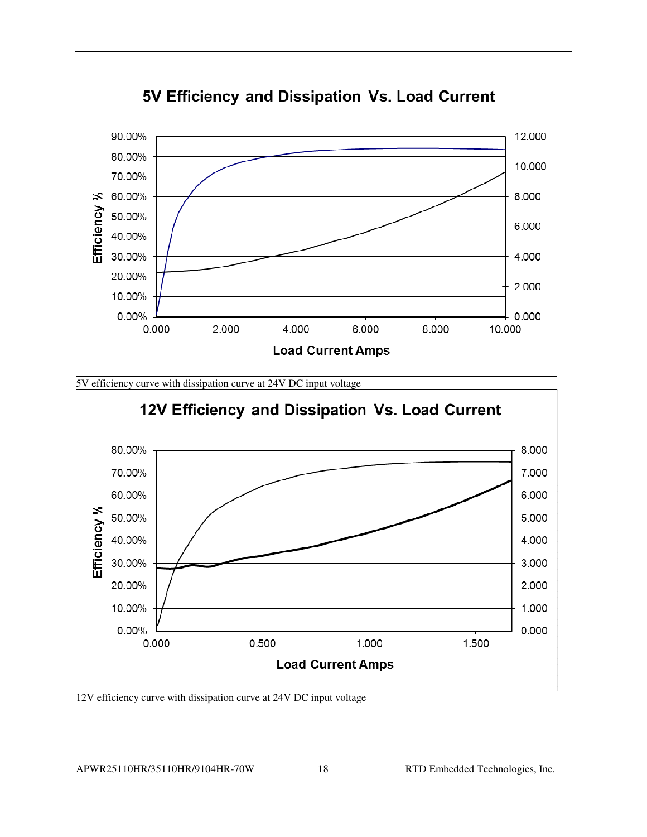

5V Efficiency and Dissipation Vs. Load Current

5V efficiency curve with dissipation curve at 24V DC input voltage



12V efficiency curve with dissipation curve at 24V DC input voltage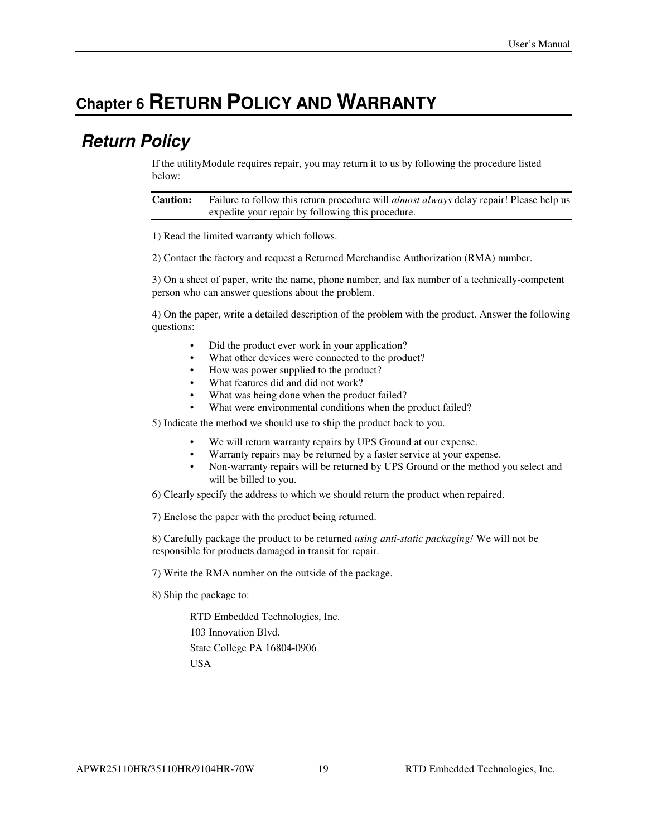# **Chapter 6 RETURN POLICY AND WARRANTY**

### **Return Policy**

If the utilityModule requires repair, you may return it to us by following the procedure listed below:

**Caution:** Failure to follow this return procedure will *almost always* delay repair! Please help us expedite your repair by following this procedure.

1) Read the limited warranty which follows.

2) Contact the factory and request a Returned Merchandise Authorization (RMA) number.

3) On a sheet of paper, write the name, phone number, and fax number of a technically-competent person who can answer questions about the problem.

4) On the paper, write a detailed description of the problem with the product. Answer the following questions:

- Did the product ever work in your application?
- What other devices were connected to the product?
- How was power supplied to the product?
- What features did and did not work?
- What was being done when the product failed?
- What were environmental conditions when the product failed?

5) Indicate the method we should use to ship the product back to you.

- We will return warranty repairs by UPS Ground at our expense.
- Warranty repairs may be returned by a faster service at your expense.
- Non-warranty repairs will be returned by UPS Ground or the method you select and will be billed to you.

6) Clearly specify the address to which we should return the product when repaired.

7) Enclose the paper with the product being returned.

8) Carefully package the product to be returned *using anti-static packaging!* We will not be responsible for products damaged in transit for repair.

7) Write the RMA number on the outside of the package.

8) Ship the package to:

 RTD Embedded Technologies, Inc. 103 Innovation Blvd. State College PA 16804-0906 USA